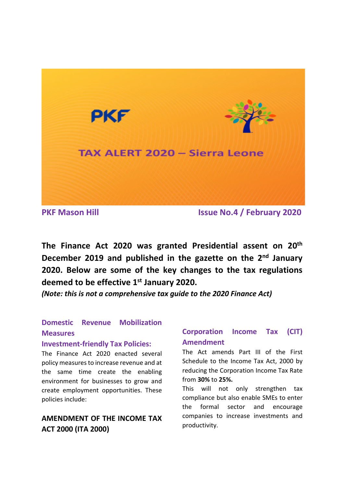

**PKF Mason Hill Issue No.4 / February 2020**

**The Finance Act 2020 was granted Presidential assent on 20th December 2019 and published in the gazette on the 2nd January 2020. Below are some of the key changes to the tax regulations deemed to be effective 1st January 2020.** 

*(Note: this is not a comprehensive tax guide to the 2020 Finance Act)*

# **Domestic Revenue Mobilization Measures**

#### **Investment-friendly Tax Policies:**

The Finance Act 2020 enacted several policy measures to increase revenue and at the same time create the enabling environment for businesses to grow and create employment opportunities. These policies include:

## **AMENDMENT OF THE INCOME TAX ACT 2000 (ITA 2000)**

## **Corporation Income Tax (CIT) Amendment**

The Act amends Part III of the First Schedule to the Income Tax Act, 2000 by reducing the Corporation Income Tax Rate from **30%** to **25%.**

This will not only strengthen tax compliance but also enable SMEs to enter the formal sector and encourage companies to increase investments and productivity.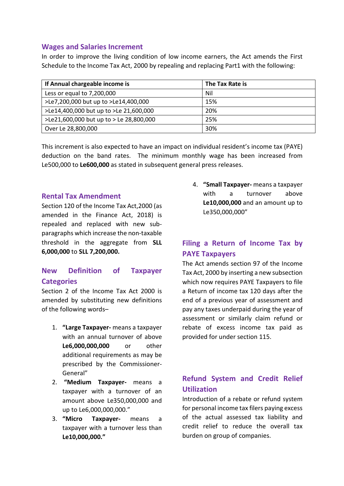#### **Wages and Salaries Increment**

In order to improve the living condition of low income earners, the Act amends the First Schedule to the Income Tax Act, 2000 by repealing and replacing Part1 with the following:

| If Annual chargeable income is          | The Tax Rate is |
|-----------------------------------------|-----------------|
| Less or equal to 7,200,000              | Nil             |
| >Le7,200,000 but up to >Le14,400,000    | 15%             |
| >Le14,400,000 but up to >Le 21,600,000  | 20%             |
| >Le21,600,000 but up to > Le 28,800,000 | 25%             |
| Over Le 28,800,000                      | 30%             |

This increment is also expected to have an impact on individual resident's income tax (PAYE) deduction on the band rates. The minimum monthly wage has been increased from Le500,000 to **Le600,000** as stated in subsequent general press releases.

#### **Rental Tax Amendment**

Section 120 of the Income Tax Act,2000 (as amended in the Finance Act, 2018) is repealed and replaced with new subparagraphs which increase the non-taxable threshold in the aggregate from **SLL 6,000,000** to **SLL 7,200,000.**

### **New Definition of Taxpayer Categories**

Section 2 of the Income Tax Act 2000 is amended by substituting new definitions of the following words–

- 1. **"Large Taxpayer-** means a taxpayer with an annual turnover of above **Le6,000,000,000** or other additional requirements as may be prescribed by the Commissioner-General"
- 2. **"Medium Taxpayer-** means a taxpayer with a turnover of an amount above Le350,000,000 and up to Le6,000,000,000."
- 3. **"Micro Taxpayer-** means a taxpayer with a turnover less than **Le10,000,000."**

4. **"Small Taxpayer-** means a taxpayer with a turnover above **Le10,000,000** and an amount up to Le350,000,000"

## **Filing a Return of Income Tax by PAYE Taxpayers**

The Act amends section 97 of the Income Tax Act, 2000 by inserting a new subsection which now requires PAYE Taxpayers to file a Return of income tax 120 days after the end of a previous year of assessment and pay any taxes underpaid during the year of assessment or similarly claim refund or rebate of excess income tax paid as provided for under section 115.

## **Refund System and Credit Relief Utilization**

Introduction of a rebate or refund system for personal income tax filers paying excess of the actual assessed tax liability and credit relief to reduce the overall tax burden on group of companies.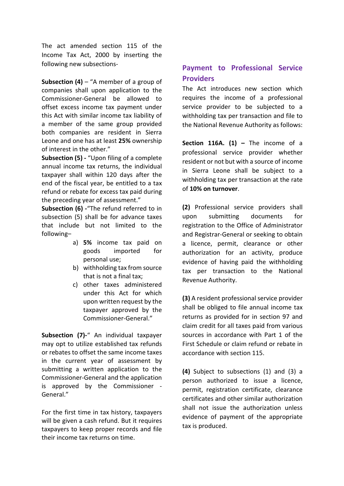The act amended section 115 of the Income Tax Act, 2000 by inserting the following new subsections-

**Subsection (4)** – "A member of a group of companies shall upon application to the Commissioner-General be allowed to offset excess income tax payment under this Act with similar income tax liability of a member of the same group provided both companies are resident in Sierra Leone and one has at least **25%** ownership of interest in the other."

**Subsection (5) -** "Upon filing of a complete annual income tax returns, the individual taxpayer shall within 120 days after the end of the fiscal year, be entitled to a tax refund or rebate for excess tax paid during the preceding year of assessment."

**Subsection (6) -**"The refund referred to in subsection (5) shall be for advance taxes that include but not limited to the following–

- a) **5%** income tax paid on goods imported for personal use;
- b) withholding tax from source that is not a final tax;
- c) other taxes administered under this Act for which upon written request by the taxpayer approved by the Commissioner-General."

**Subsection (7)-**" An individual taxpayer may opt to utilize established tax refunds or rebates to offset the same income taxes in the current year of assessment by submitting a written application to the Commissioner-General and the application is approved by the Commissioner - General."

For the first time in tax history, taxpayers will be given a cash refund. But it requires taxpayers to keep proper records and file their income tax returns on time.

## **Payment to Professional Service Providers**

The Act introduces new section which requires the income of a professional service provider to be subjected to a withholding tax per transaction and file to the National Revenue Authority as follows:

**Section 116A. (1) –** The income of a professional service provider whether resident or not but with a source of income in Sierra Leone shall be subject to a withholding tax per transaction at the rate of **10% on turnover**.

**(2)** Professional service providers shall upon submitting documents for registration to the Office of Administrator and Registrar-General or seeking to obtain a licence, permit, clearance or other authorization for an activity, produce evidence of having paid the withholding tax per transaction to the National Revenue Authority.

**(3)** A resident professional service provider shall be obliged to file annual income tax returns as provided for in section 97 and claim credit for all taxes paid from various sources in accordance with Part 1 of the First Schedule or claim refund or rebate in accordance with section 115.

**(4)** Subject to subsections (1) and (3) a person authorized to issue a licence, permit, registration certificate, clearance certificates and other similar authorization shall not issue the authorization unless evidence of payment of the appropriate tax is produced.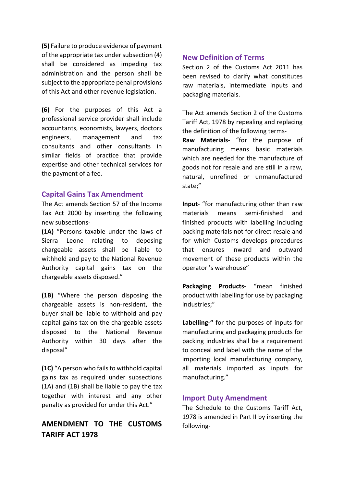**(5)** Failure to produce evidence of payment of the appropriate tax under subsection (4) shall be considered as impeding tax administration and the person shall be subject to the appropriate penal provisions of this Act and other revenue legislation.

**(6)** For the purposes of this Act a professional service provider shall include accountants, economists, lawyers, doctors engineers, management and tax consultants and other consultants in similar fields of practice that provide expertise and other technical services for the payment of a fee.

#### **Capital Gains Tax Amendment**

The Act amends Section 57 of the Income Tax Act 2000 by inserting the following new subsections-

**(1A)** "Persons taxable under the laws of Sierra Leone relating to deposing chargeable assets shall be liable to withhold and pay to the National Revenue Authority capital gains tax on the chargeable assets disposed."

**(1B)** "Where the person disposing the chargeable assets is non-resident, the buyer shall be liable to withhold and pay capital gains tax on the chargeable assets disposed to the National Revenue Authority within 30 days after the disposal"

**(1C)** "A person who fails to withhold capital gains tax as required under subsections (1A) and (1B) shall be liable to pay the tax together with interest and any other penalty as provided for under this Act."

## **AMENDMENT TO THE CUSTOMS TARIFF ACT 1978**

#### **New Definition of Terms**

Section 2 of the Customs Act 2011 has been revised to clarify what constitutes raw materials, intermediate inputs and packaging materials.

The Act amends Section 2 of the Customs Tariff Act, 1978 by repealing and replacing the definition of the following terms-

**Raw Materials**- "for the purpose of manufacturing means basic materials which are needed for the manufacture of goods not for resale and are still in a raw, natural, unrefined or unmanufactured state;"

**Input**- "for manufacturing other than raw materials means semi-finished and finished products with labelling including packing materials not for direct resale and for which Customs develops procedures that ensures inward and outward movement of these products within the operator 's warehouse"

**Packaging Products-** "mean finished product with labelling for use by packaging industries;"

**Labelling-"** for the purposes of inputs for manufacturing and packaging products for packing industries shall be a requirement to conceal and label with the name of the importing local manufacturing company, all materials imported as inputs for manufacturing."

#### **Import Duty Amendment**

The Schedule to the Customs Tariff Act, 1978 is amended in Part II by inserting the following-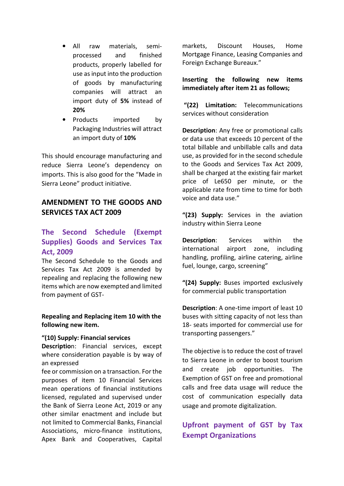- All raw materials, semiprocessed and finished products, properly labelled for use as input into the production of goods by manufacturing companies will attract an import duty of **5%** instead of **20%**
- Products imported by Packaging Industries will attract an import duty of **10%**

This should encourage manufacturing and reduce Sierra Leone's dependency on imports. This is also good for the "Made in Sierra Leone" product initiative.

### **AMENDMENT TO THE GOODS AND SERVICES TAX ACT 2009**

### **The Second Schedule (Exempt Supplies) Goods and Services Tax Act, 2009**

The Second Schedule to the Goods and Services Tax Act 2009 is amended by repealing and replacing the following new items which are now exempted and limited from payment of GST-

#### **Repealing and Replacing item 10 with the following new item.**

#### **"(10) Supply: Financial services**

**Descriptio**n: Financial services, except where consideration payable is by way of an expressed

fee or commission on a transaction. For the purposes of item 10 Financial Services mean operations of financial institutions licensed, regulated and supervised under the Bank of Sierra Leone Act, 2019 or any other similar enactment and include but not limited to Commercial Banks, Financial Associations, micro-finance institutions, Apex Bank and Cooperatives, Capital markets, Discount Houses, Home Mortgage Finance, Leasing Companies and Foreign Exchange Bureaux."

**Inserting the following new items immediately after item 21 as follows;** 

 **"(22) Limitation:** Telecommunications services without consideration

**Description**: Any free or promotional calls or data use that exceeds 10 percent of the total billable and unbillable calls and data use, as provided for in the second schedule to the Goods and Services Tax Act 2009, shall be charged at the existing fair market price of Le650 per minute, or the applicable rate from time to time for both voice and data use."

**"(23) Supply:** Services in the aviation industry within Sierra Leone

**Description**: Services within the international airport zone, including handling, profiling, airline catering, airline fuel, lounge, cargo, screening"

**"(24) Supply:** Buses imported exclusively for commercial public transportation

**Description**: A one-time import of least 10 buses with sitting capacity of not less than 18- seats imported for commercial use for transporting passengers."

The objective is to reduce the cost of travel to Sierra Leone in order to boost tourism and create job opportunities. The Exemption of GST on free and promotional calls and free data usage will reduce the cost of communication especially data usage and promote digitalization.

# **Upfront payment of GST by Tax Exempt Organizations**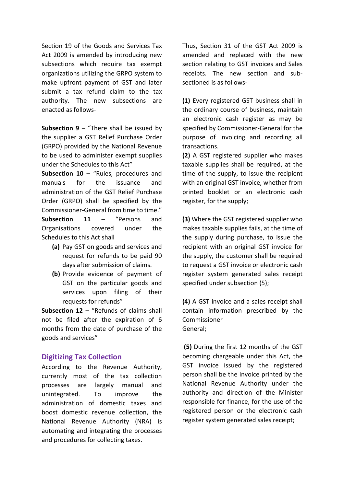Section 19 of the Goods and Services Tax Act 2009 is amended by introducing new subsections which require tax exempt organizations utilizing the GRPO system to make upfront payment of GST and later submit a tax refund claim to the tax authority. The new subsections are enacted as follows-

**Subsection 9** – "There shall be issued by the supplier a GST Relief Purchase Order (GRPO) provided by the National Revenue to be used to administer exempt supplies under the Schedules to this Act"

**Subsection 10** – "Rules, procedures and manuals for the issuance and administration of the GST Relief Purchase Order (GRPO) shall be specified by the Commissioner-General from time to time." **Subsection 11** – "Persons and Organisations covered under the Schedules to this Act shall

- **(a)** Pay GST on goods and services and request for refunds to be paid 90 days after submission of claims.
- **(b)** Provide evidence of payment of GST on the particular goods and services upon filing of their requests for refunds"

**Subsection 12** – "Refunds of claims shall not be filed after the expiration of 6 months from the date of purchase of the goods and services"

#### **Digitizing Tax Collection**

According to the Revenue Authority, currently most of the tax collection processes are largely manual and unintegrated. To improve the administration of domestic taxes and boost domestic revenue collection, the National Revenue Authority (NRA) is automating and integrating the processes and procedures for collecting taxes.

Thus, Section 31 of the GST Act 2009 is amended and replaced with the new section relating to GST invoices and Sales receipts. The new section and subsectioned is as follows-

**(1)** Every registered GST business shall in the ordinary course of business, maintain an electronic cash register as may be specified by Commissioner-General for the purpose of invoicing and recording all transactions.

**(2)** A GST registered supplier who makes taxable supplies shall be required, at the time of the supply, to issue the recipient with an original GST invoice, whether from printed booklet or an electronic cash register, for the supply;

**(3)** Where the GST registered supplier who makes taxable supplies fails, at the time of the supply during purchase, to issue the recipient with an original GST invoice for the supply, the customer shall be required to request a GST invoice or electronic cash register system generated sales receipt specified under subsection (5);

**(4)** A GST invoice and a sales receipt shall contain information prescribed by the Commissioner General;

 **(5)** During the first 12 months of the GST becoming chargeable under this Act, the GST invoice issued by the registered person shall be the invoice printed by the National Revenue Authority under the authority and direction of the Minister responsible for finance, for the use of the registered person or the electronic cash register system generated sales receipt;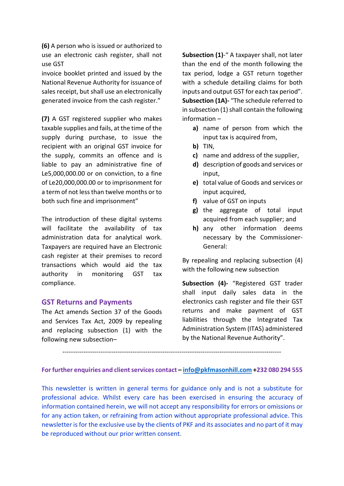**(6)** A person who is issued or authorized to use an electronic cash register, shall not use GST

invoice booklet printed and issued by the National Revenue Authority for issuance of sales receipt, but shall use an electronically generated invoice from the cash register."

**(7)** A GST registered supplier who makes taxable supplies and fails, at the time of the supply during purchase, to issue the recipient with an original GST invoice for the supply, commits an offence and is liable to pay an administrative fine of Le5,000,000.00 or on conviction, to a fine of Le20,000,000.00 or to imprisonment for a term of not less than twelve months or to both such fine and imprisonment"

The introduction of these digital systems will facilitate the availability of tax administration data for analytical work. Taxpayers are required have an Electronic cash register at their premises to record transactions which would aid the tax authority in monitoring GST tax compliance.

#### **GST Returns and Payments**

The Act amends Section 37 of the Goods and Services Tax Act, 2009 by repealing and replacing subsection (1) with the following new subsection–

**Subsection (1)**-" A taxpayer shall, not later than the end of the month following the tax period, lodge a GST return together with a schedule detailing claims for both inputs and output GST for each tax period". **Subsection (1A)-** "The schedule referred to in subsection (1) shall contain the following information –

- **a)** name of person from which the input tax is acquired from,
- **b)** TIN,
- **c)** name and address of the supplier,
- **d)** description of goods and services or input,
- **e)** total value of Goods and services or input acquired,
- **f)** value of GST on inputs
- **g)** the aggregate of total input acquired from each supplier; and
- **h)** any other information deems necessary by the Commissioner-General:

By repealing and replacing subsection (4) with the following new subsection

**Subsection (4)-** "Registered GST trader shall input daily sales data in the electronics cash register and file their GST returns and make payment of GST liabilities through the Integrated Tax Administration System (ITAS) administered by the National Revenue Authority".

**For further enquiries and client services contact – info@pkfmasonhill.com +232 080 294 555**

-------------------------------------------------------------------------------------------------------

This newsletter is written in general terms for guidance only and is not a substitute for professional advice. Whilst every care has been exercised in ensuring the accuracy of information contained herein, we will not accept any responsibility for errors or omissions or for any action taken, or refraining from action without appropriate professional advice. This newsletter is for the exclusive use by the clients of PKF and its associates and no part of it may be reproduced without our prior written consent.